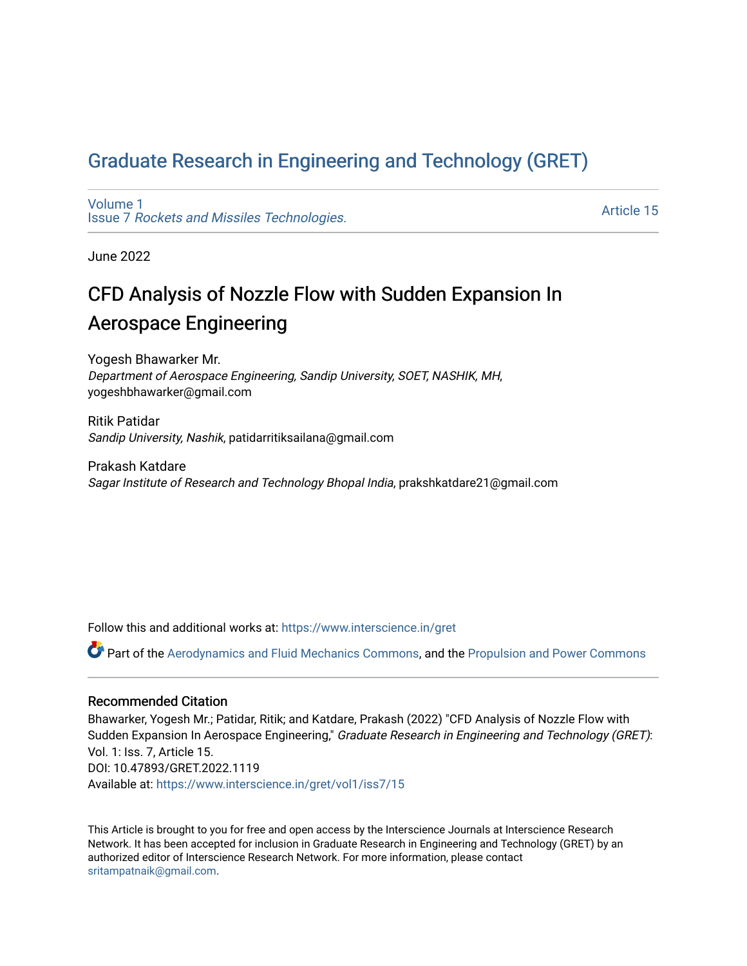## [Graduate Research in Engineering and Technology \(GRET\)](https://www.interscience.in/gret)

[Volume 1](https://www.interscience.in/gret/vol1) Issue 7 [Rockets and Missiles Technologies.](https://www.interscience.in/gret/vol1/iss7)

[Article 15](https://www.interscience.in/gret/vol1/iss7/15) 

June 2022

# CFD Analysis of Nozzle Flow with Sudden Expansion In Aerospace Engineering

Yogesh Bhawarker Mr. Department of Aerospace Engineering, Sandip University, SOET, NASHIK, MH, yogeshbhawarker@gmail.com

Ritik Patidar Sandip University, Nashik, patidarritiksailana@gmail.com

Prakash Katdare Sagar Institute of Research and Technology Bhopal India, prakshkatdare21@gmail.com

Follow this and additional works at: [https://www.interscience.in/gret](https://www.interscience.in/gret?utm_source=www.interscience.in%2Fgret%2Fvol1%2Fiss7%2F15&utm_medium=PDF&utm_campaign=PDFCoverPages)

Part of the [Aerodynamics and Fluid Mechanics Commons,](https://network.bepress.com/hgg/discipline/222?utm_source=www.interscience.in%2Fgret%2Fvol1%2Fiss7%2F15&utm_medium=PDF&utm_campaign=PDFCoverPages) and the [Propulsion and Power Commons](https://network.bepress.com/hgg/discipline/225?utm_source=www.interscience.in%2Fgret%2Fvol1%2Fiss7%2F15&utm_medium=PDF&utm_campaign=PDFCoverPages) 

## Recommended Citation

Bhawarker, Yogesh Mr.; Patidar, Ritik; and Katdare, Prakash (2022) "CFD Analysis of Nozzle Flow with Sudden Expansion In Aerospace Engineering," Graduate Research in Engineering and Technology (GRET): Vol. 1: Iss. 7, Article 15. DOI: 10.47893/GRET.2022.1119 Available at: [https://www.interscience.in/gret/vol1/iss7/15](https://www.interscience.in/gret/vol1/iss7/15?utm_source=www.interscience.in%2Fgret%2Fvol1%2Fiss7%2F15&utm_medium=PDF&utm_campaign=PDFCoverPages) 

This Article is brought to you for free and open access by the Interscience Journals at Interscience Research Network. It has been accepted for inclusion in Graduate Research in Engineering and Technology (GRET) by an authorized editor of Interscience Research Network. For more information, please contact [sritampatnaik@gmail.com](mailto:sritampatnaik@gmail.com).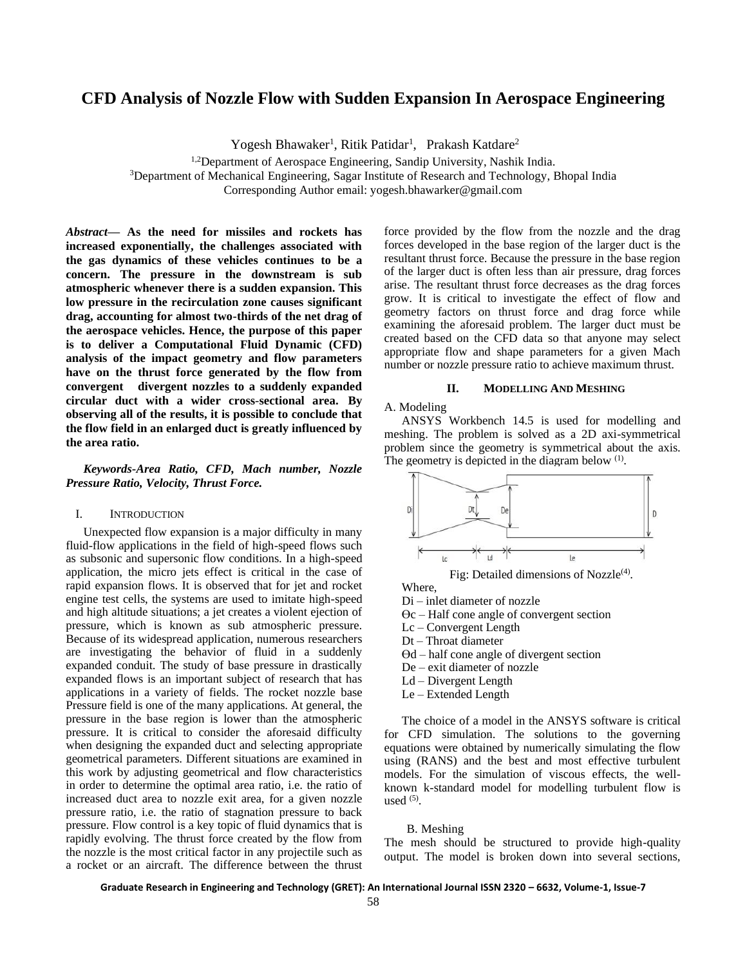## **CFD Analysis of Nozzle Flow with Sudden Expansion In Aerospace Engineering**

Yogesh Bhawaker<sup>1</sup>, Ritik Patidar<sup>1</sup>, Prakash Katdare<sup>2</sup>

<sup>1,2</sup>Department of Aerospace Engineering, Sandip University, Nashik India.

<sup>3</sup>Department of Mechanical Engineering, Sagar Institute of Research and Technology, Bhopal India

Corresponding Author email: yogesh.bhawarker@gmail.com

*Abstract***— As the need for missiles and rockets has increased exponentially, the challenges associated with the gas dynamics of these vehicles continues to be a concern. The pressure in the downstream is sub atmospheric whenever there is a sudden expansion. This low pressure in the recirculation zone causes significant drag, accounting for almost two-thirds of the net drag of the aerospace vehicles. Hence, the purpose of this paper is to deliver a Computational Fluid Dynamic (CFD) analysis of the impact geometry and flow parameters have on the thrust force generated by the flow from convergent divergent nozzles to a suddenly expanded circular duct with a wider cross**-**sectional area. By observing all of the results, it is possible to conclude that the flow field in an enlarged duct is greatly influenced by the area ratio.**

*Keywords-Area Ratio, CFD, Mach number, Nozzle Pressure Ratio, Velocity, Thrust Force.*

## I. INTRODUCTION

Unexpected flow expansion is a major difficulty in many fluid-flow applications in the field of high-speed flows such as subsonic and supersonic flow conditions. In a high-speed application, the micro jets effect is critical in the case of rapid expansion flows. It is observed that for jet and rocket engine test cells, the systems are used to imitate high-speed and high altitude situations; a jet creates a violent ejection of pressure, which is known as sub atmospheric pressure. Because of its widespread application, numerous researchers are investigating the behavior of fluid in a suddenly expanded conduit. The study of base pressure in drastically expanded flows is an important subject of research that has applications in a variety of fields. The rocket nozzle base Pressure field is one of the many applications. At general, the pressure in the base region is lower than the atmospheric pressure. It is critical to consider the aforesaid difficulty when designing the expanded duct and selecting appropriate geometrical parameters. Different situations are examined in this work by adjusting geometrical and flow characteristics in order to determine the optimal area ratio, i.e. the ratio of increased duct area to nozzle exit area, for a given nozzle pressure ratio, i.e. the ratio of stagnation pressure to back pressure. Flow control is a key topic of fluid dynamics that is rapidly evolving. The thrust force created by the flow from the nozzle is the most critical factor in any projectile such as a rocket or an aircraft. The difference between the thrust

force provided by the flow from the nozzle and the drag forces developed in the base region of the larger duct is the resultant thrust force. Because the pressure in the base region of the larger duct is often less than air pressure, drag forces arise. The resultant thrust force decreases as the drag forces grow. It is critical to investigate the effect of flow and geometry factors on thrust force and drag force while examining the aforesaid problem. The larger duct must be created based on the CFD data so that anyone may select appropriate flow and shape parameters for a given Mach number or nozzle pressure ratio to achieve maximum thrust.

## **II. MODELLING AND MESHING**

## A. Modeling

ANSYS Workbench 14.5 is used for modelling and meshing. The problem is solved as a 2D axi-symmetrical problem since the geometry is symmetrical about the axis. The geometry is depicted in the diagram below  $<sup>(1)</sup>$ .</sup>



Fig: Detailed dimensions of Nozzle $(4)$ .

Where,

- Di inlet diameter of nozzle
- $\Theta$ c Half cone angle of convergent section
- Lc Convergent Length
- Dt Throat diameter
- $\Theta$ d half cone angle of divergent section
- De exit diameter of nozzle
- Ld Divergent Length
- Le Extended Length

The choice of a model in the ANSYS software is critical for CFD simulation. The solutions to the governing equations were obtained by numerically simulating the flow using (RANS) and the best and most effective turbulent models. For the simulation of viscous effects, the wellknown k-standard model for modelling turbulent flow is used  $(5)$ .

### B. Meshing

The mesh should be structured to provide high-quality output. The model is broken down into several sections,

**Graduate Research in Engineering and Technology (GRET): An International Journal ISSN 2320 – 6632, Volume-1, Issue-7**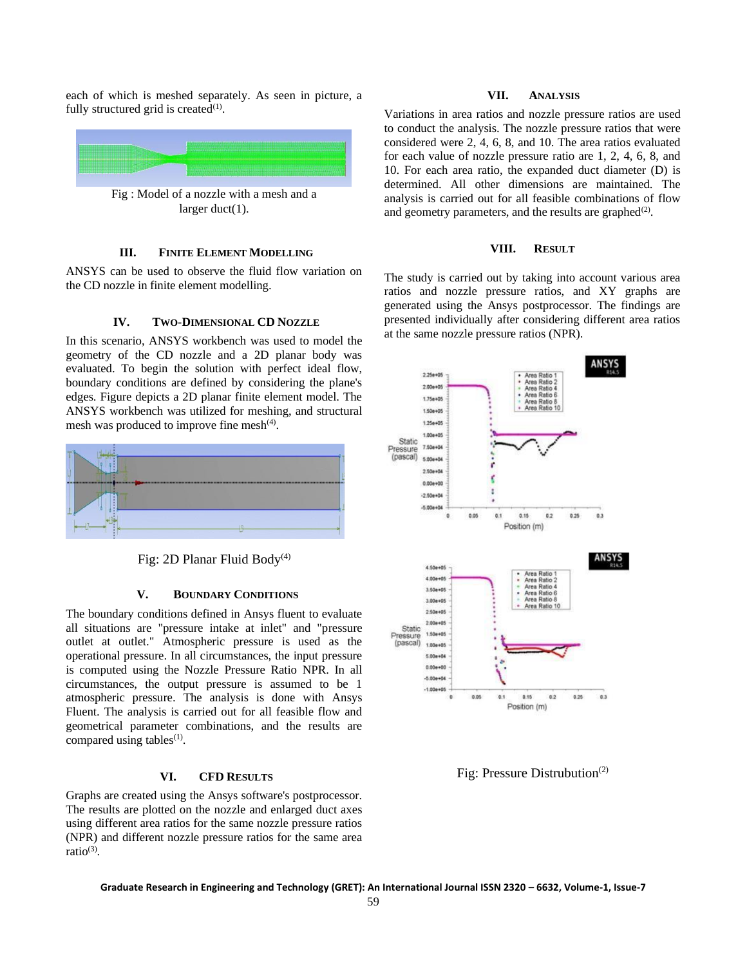each of which is meshed separately. As seen in picture, a fully structured grid is created $(1)$ .



Fig : Model of a nozzle with a mesh and a larger duct(1).

## **III. FINITE ELEMENT MODELLING**

ANSYS can be used to observe the fluid flow variation on the CD nozzle in finite element modelling.

## **IV. TWO-DIMENSIONAL CD NOZZLE**

In this scenario, ANSYS workbench was used to model the geometry of the CD nozzle and a 2D planar body was evaluated. To begin the solution with perfect ideal flow, boundary conditions are defined by considering the plane's edges. Figure depicts a 2D planar finite element model. The ANSYS workbench was utilized for meshing, and structural mesh was produced to improve fine mesh<sup>(4)</sup>.



Fig: 2D Planar Fluid Body<sup>(4)</sup>

#### **V. BOUNDARY CONDITIONS**

The boundary conditions defined in Ansys fluent to evaluate all situations are "pressure intake at inlet" and "pressure outlet at outlet." Atmospheric pressure is used as the operational pressure. In all circumstances, the input pressure is computed using the Nozzle Pressure Ratio NPR. In all circumstances, the output pressure is assumed to be 1 atmospheric pressure. The analysis is done with Ansys Fluent. The analysis is carried out for all feasible flow and geometrical parameter combinations, and the results are compared using tables $(1)$ .

## **VI. CFD RESULTS**

Graphs are created using the Ansys software's postprocessor. The results are plotted on the nozzle and enlarged duct axes using different area ratios for the same nozzle pressure ratios (NPR) and different nozzle pressure ratios for the same area ratio<sup>(3)</sup>.

## **VII. ANALYSIS**

Variations in area ratios and nozzle pressure ratios are used to conduct the analysis. The nozzle pressure ratios that were considered were 2, 4, 6, 8, and 10. The area ratios evaluated for each value of nozzle pressure ratio are 1, 2, 4, 6, 8, and 10. For each area ratio, the expanded duct diameter (D) is determined. All other dimensions are maintained. The analysis is carried out for all feasible combinations of flow and geometry parameters, and the results are graphed $(2)$ .

## **VIII. RESULT**

The study is carried out by taking into account various area ratios and nozzle pressure ratios, and XY graphs are generated using the Ansys postprocessor. The findings are presented individually after considering different area ratios at the same nozzle pressure ratios (NPR).



Fig: Pressure Distrubution<sup>(2)</sup>

**Graduate Research in Engineering and Technology (GRET): An International Journal ISSN 2320 – 6632, Volume-1, Issue-7**